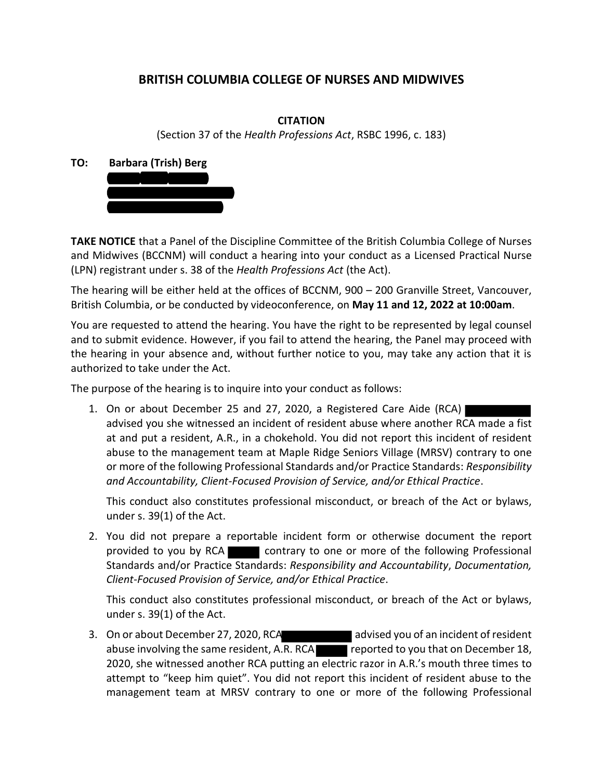## **BRITISH COLUMBIA COLLEGE OF NURSES AND MIDWIVES**

## **CITATION**

(Section 37 of the *Health Professions Act*, RSBC 1996, c. 183)

**TO: Barbara (Trish) Berg**



**TAKE NOTICE** that a Panel of the Discipline Committee of the British Columbia College of Nurses and Midwives (BCCNM) will conduct a hearing into your conduct as a Licensed Practical Nurse (LPN) registrant under s. 38 of the *Health Professions Act* (the Act).

The hearing will be either held at the offices of BCCNM, 900 – 200 Granville Street, Vancouver, British Columbia, or be conducted by videoconference, on **May 11 and 12, 2022 at 10:00am**.

You are requested to attend the hearing. You have the right to be represented by legal counsel and to submit evidence. However, if you fail to attend the hearing, the Panel may proceed with the hearing in your absence and, without further notice to you, may take any action that it is authorized to take under the Act.

The purpose of the hearing is to inquire into your conduct as follows:

1. On or about December 25 and 27, 2020, a Registered Care Aide (RCA) advised you she witnessed an incident of resident abuse where another RCA made a fist at and put a resident, A.R., in a chokehold. You did not report this incident of resident abuse to the management team at Maple Ridge Seniors Village (MRSV) contrary to one or more of the following Professional Standards and/or Practice Standards: *Responsibility and Accountability, Client-Focused Provision of Service, and/or Ethical Practice*.

This conduct also constitutes professional misconduct, or breach of the Act or bylaws, under s. 39(1) of the Act.

2. You did not prepare a reportable incident form or otherwise document the report provided to you by RCA contrary to one or more of the following Professional Standards and/or Practice Standards: *Responsibility and Accountability*, *Documentation, Client-Focused Provision of Service, and/or Ethical Practice*.

This conduct also constitutes professional misconduct, or breach of the Act or bylaws, under s. 39(1) of the Act.

3. On or about December 27, 2020, RCA and advised you of an incident of resident abuse involving the same resident, A.R. RCA reported to you that on December 18, 2020, she witnessed another RCA putting an electric razor in A.R.'s mouth three times to attempt to "keep him quiet". You did not report this incident of resident abuse to the management team at MRSV contrary to one or more of the following Professional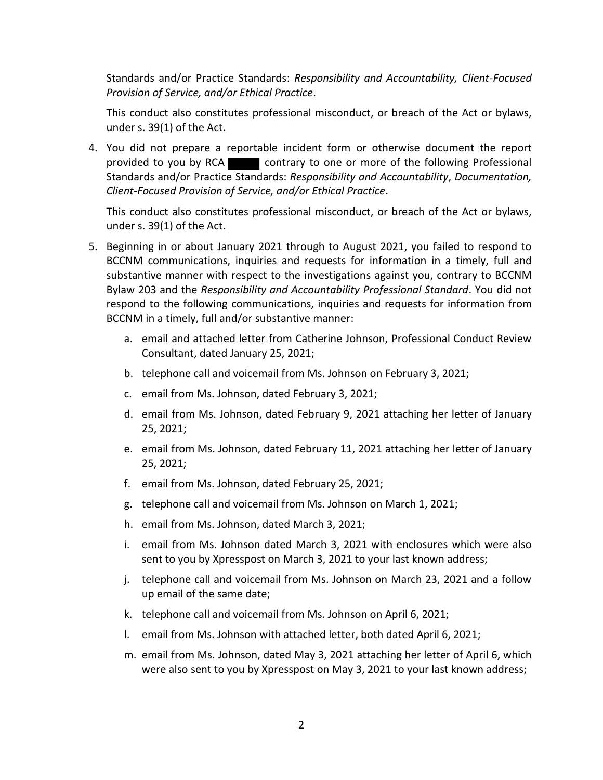Standards and/or Practice Standards: *Responsibility and Accountability, Client-Focused Provision of Service, and/or Ethical Practice*.

This conduct also constitutes professional misconduct, or breach of the Act or bylaws, under s. 39(1) of the Act.

4. You did not prepare a reportable incident form or otherwise document the report provided to you by RCA contrary to one or more of the following Professional Standards and/or Practice Standards: *Responsibility and Accountability*, *Documentation, Client-Focused Provision of Service, and/or Ethical Practice*.

This conduct also constitutes professional misconduct, or breach of the Act or bylaws, under s. 39(1) of the Act.

- 5. Beginning in or about January 2021 through to August 2021, you failed to respond to BCCNM communications, inquiries and requests for information in a timely, full and substantive manner with respect to the investigations against you, contrary to BCCNM Bylaw 203 and the *Responsibility and Accountability Professional Standard*. You did not respond to the following communications, inquiries and requests for information from BCCNM in a timely, full and/or substantive manner:
	- a. email and attached letter from Catherine Johnson, Professional Conduct Review Consultant, dated January 25, 2021;
	- b. telephone call and voicemail from Ms. Johnson on February 3, 2021;
	- c. email from Ms. Johnson, dated February 3, 2021;
	- d. email from Ms. Johnson, dated February 9, 2021 attaching her letter of January 25, 2021;
	- e. email from Ms. Johnson, dated February 11, 2021 attaching her letter of January 25, 2021;
	- f. email from Ms. Johnson, dated February 25, 2021;
	- g. telephone call and voicemail from Ms. Johnson on March 1, 2021;
	- h. email from Ms. Johnson, dated March 3, 2021;
	- i. email from Ms. Johnson dated March 3, 2021 with enclosures which were also sent to you by Xpresspost on March 3, 2021 to your last known address;
	- j. telephone call and voicemail from Ms. Johnson on March 23, 2021 and a follow up email of the same date;
	- k. telephone call and voicemail from Ms. Johnson on April 6, 2021;
	- l. email from Ms. Johnson with attached letter, both dated April 6, 2021;
	- m. email from Ms. Johnson, dated May 3, 2021 attaching her letter of April 6, which were also sent to you by Xpresspost on May 3, 2021 to your last known address;